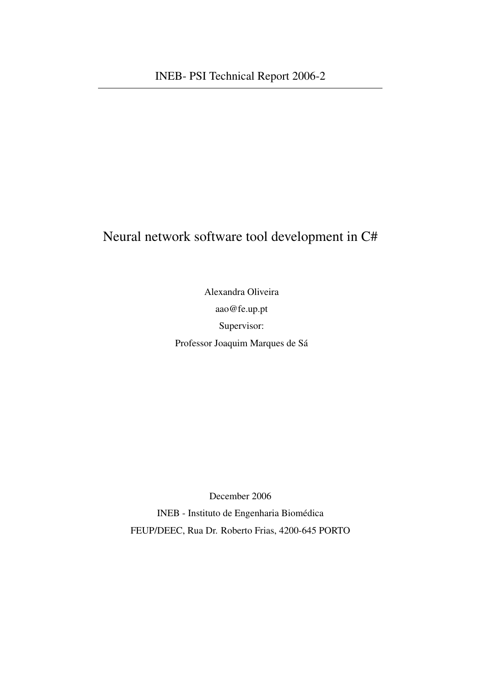### Neural network software tool development in C#

Alexandra Oliveira aao@fe.up.pt Supervisor: Professor Joaquim Marques de Sá

December 2006

INEB - Instituto de Engenharia Biomédica FEUP/DEEC, Rua Dr. Roberto Frias, 4200-645 PORTO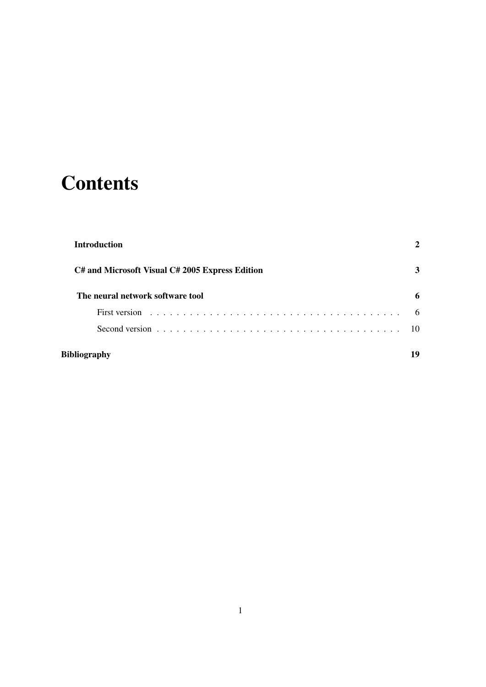# **Contents**

|              | <b>Introduction</b>                                                                           |      |
|--------------|-----------------------------------------------------------------------------------------------|------|
|              | C# and Microsoft Visual C# 2005 Express Edition                                               | 3    |
|              | The neural network software tool                                                              | 6    |
|              |                                                                                               | 6    |
|              | Second version $\ldots \ldots \ldots \ldots \ldots \ldots \ldots \ldots \ldots \ldots \ldots$ | - 10 |
| Bibliography |                                                                                               | 19   |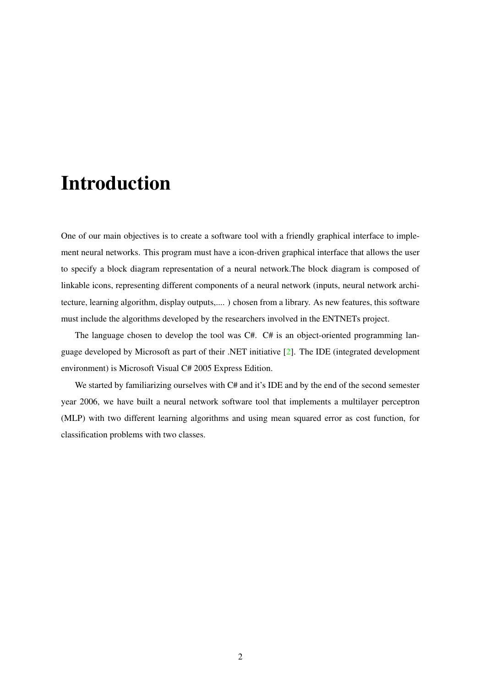## Introduction

<span id="page-2-0"></span>One of our main objectives is to create a software tool with a friendly graphical interface to implement neural networks. This program must have a icon-driven graphical interface that allows the user to specify a block diagram representation of a neural network.The block diagram is composed of linkable icons, representing different components of a neural network (inputs, neural network architecture, learning algorithm, display outputs,.... ) chosen from a library. As new features, this software must include the algorithms developed by the researchers involved in the ENTNETs project.

The language chosen to develop the tool was C#. C# is an object-oriented programming language developed by Microsoft as part of their .NET initiative [\[2\]](#page-19-1). The IDE (integrated development environment) is Microsoft Visual C# 2005 Express Edition.

We started by familiarizing ourselves with C# and it's IDE and by the end of the second semester year 2006, we have built a neural network software tool that implements a multilayer perceptron (MLP) with two different learning algorithms and using mean squared error as cost function, for classification problems with two classes.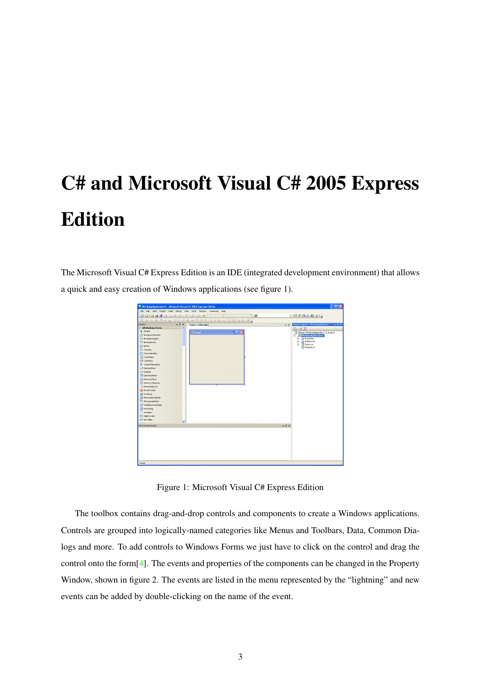# C# and Microsoft Visual C# 2005 Express Edition

<span id="page-3-0"></span>The Microsoft Visual C# Express Edition is an IDE (integrated development environment) that allows a quick and easy creation of Windows applications (see figure [1\)](#page-3-1).



Figure 1: Microsoft Visual C# Express Edition

<span id="page-3-1"></span>The toolbox contains drag-and-drop controls and components to create a Windows applications. Controls are grouped into logically-named categories like Menus and Toolbars, Data, Common Dialogs and more. To add controls to Windows Forms we just have to click on the control and drag the control onto the form  $[4]$ . The events and properties of the components can be changed in the Property Window, shown in figure [2.](#page-4-0) The events are listed in the menu represented by the "lightning" and new events can be added by double-clicking on the name of the event.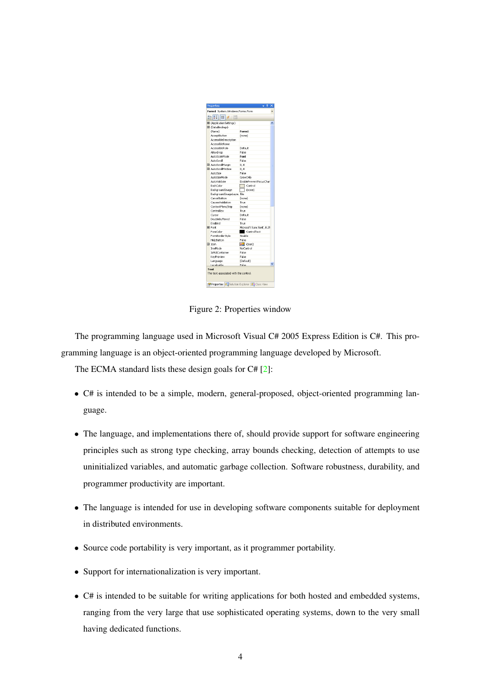| Form1 System.Windows.Forms.Form | ņ                          | × |
|---------------------------------|----------------------------|---|
|                                 |                            |   |
| 第21日9日                          |                            |   |
| El (ApplicationSettings)        |                            |   |
| El (DataBindings)               |                            |   |
| (Name)                          | Form1                      |   |
| AcceptButton                    | (none)                     |   |
| AccessibleDescription           |                            |   |
| AccessibleName                  |                            |   |
| AccessbleRole                   | Default                    |   |
| AllowDrop                       | False                      |   |
| AutoScaleMode                   | Font                       |   |
| AutoScroll                      | Ealse                      |   |
| El AutoScrolMargin              | 0, 0                       |   |
| El AutoScrolMinSize             | 0.0                        |   |
| AutoSize                        | False                      |   |
| AutoSizeMode                    | GrowOnly                   |   |
| AutoValidate                    | EnablePreventEorusChar     |   |
| BackColor                       | $\Box$ Control             |   |
| BackgroundImage                 | $\sqcap$ (none)            |   |
| BackgroundImageLayou Tile       |                            |   |
| CancelButton                    | (none)                     |   |
| CausesValidation                | True                       |   |
| ContextMenuStrip                | (none)                     |   |
| ControlBox                      | True                       |   |
| Curson                          | Default                    |   |
| DoubleBuffered                  | <b>Fake</b>                |   |
| Enabled                         | True                       |   |
| FI Font                         | Microsoft Sans Serif, 8,25 |   |
| ForeColor                       | ControlText                |   |
| FormBorderStyle                 | Sizable                    |   |
| <b>HelpButton</b>               | Eake                       |   |
| El Icon                         | $=$ (Icon)                 |   |
| ImeMode                         | NoControl                  |   |
| <b>IsMdiContainer</b>           | Fake                       |   |
| KeyPreview                      | False                      |   |
| Language                        | (Default)                  |   |
| Localizable                     | False.                     |   |

<span id="page-4-0"></span>Figure 2: Properties window

The programming language used in Microsoft Visual C# 2005 Express Edition is C#. This programming language is an object-oriented programming language developed by Microsoft.

The ECMA standard lists these design goals for C# [\[2\]](#page-19-1):

- C# is intended to be a simple, modern, general-proposed, object-oriented programming language.
- The language, and implementations there of, should provide support for software engineering principles such as strong type checking, array bounds checking, detection of attempts to use uninitialized variables, and automatic garbage collection. Software robustness, durability, and programmer productivity are important.
- The language is intended for use in developing software components suitable for deployment in distributed environments.
- Source code portability is very important, as it programmer portability.
- Support for internationalization is very important.
- C# is intended to be suitable for writing applications for both hosted and embedded systems, ranging from the very large that use sophisticated operating systems, down to the very small having dedicated functions.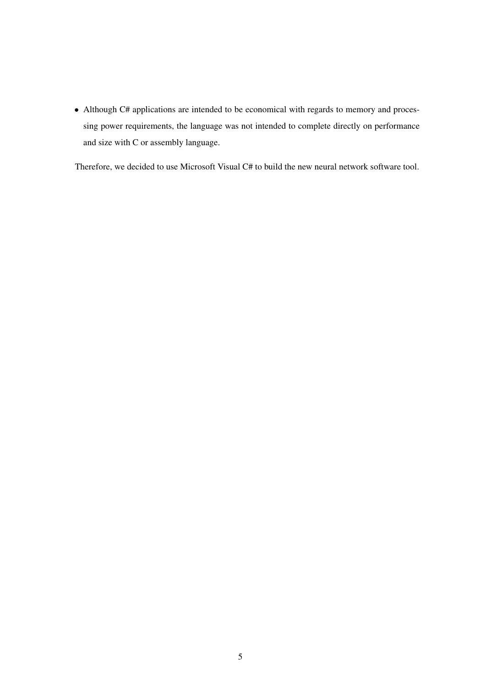• Although C# applications are intended to be economical with regards to memory and processing power requirements, the language was not intended to complete directly on performance and size with C or assembly language.

Therefore, we decided to use Microsoft Visual C# to build the new neural network software tool.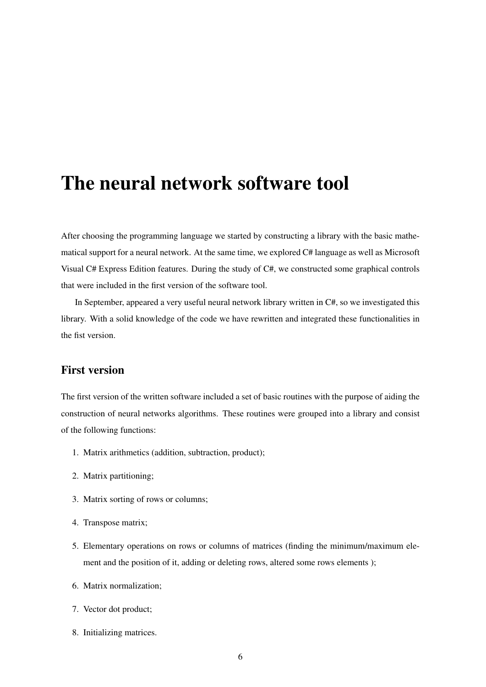## The neural network software tool

<span id="page-6-0"></span>After choosing the programming language we started by constructing a library with the basic mathematical support for a neural network. At the same time, we explored C# language as well as Microsoft Visual C# Express Edition features. During the study of C#, we constructed some graphical controls that were included in the first version of the software tool.

In September, appeared a very useful neural network library written in C#, so we investigated this library. With a solid knowledge of the code we have rewritten and integrated these functionalities in the fist version.

#### First version

<span id="page-6-1"></span>The first version of the written software included a set of basic routines with the purpose of aiding the construction of neural networks algorithms. These routines were grouped into a library and consist of the following functions:

- 1. Matrix arithmetics (addition, subtraction, product);
- 2. Matrix partitioning;
- 3. Matrix sorting of rows or columns;
- 4. Transpose matrix;
- 5. Elementary operations on rows or columns of matrices (finding the minimum/maximum element and the position of it, adding or deleting rows, altered some rows elements );
- 6. Matrix normalization;
- 7. Vector dot product;
- 8. Initializing matrices.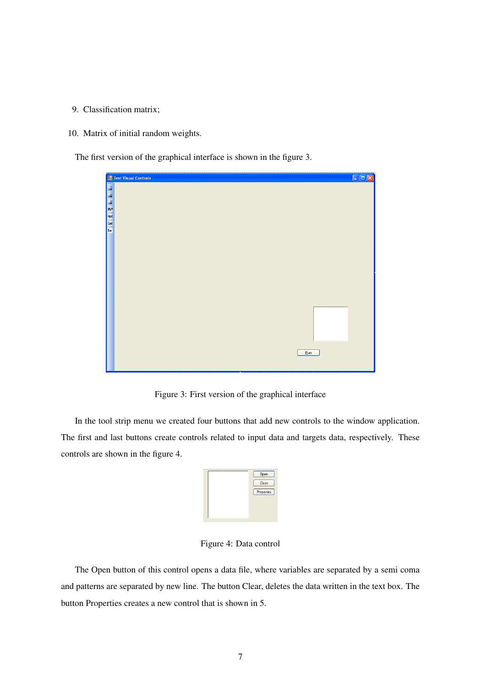- 9. Classification matrix;
- 10. Matrix of initial random weights.

The first version of the graphical interface is shown in the figure [3.](#page-7-0)

|            | <mark>한 Test Visual Controls</mark><br>  <u>20</u><br>  조금<br>  MM<br>  MM | $\Box$ ex |
|------------|----------------------------------------------------------------------------|-----------|
|            |                                                                            |           |
|            |                                                                            |           |
|            |                                                                            |           |
|            |                                                                            |           |
|            |                                                                            |           |
| <b>Tar</b> |                                                                            |           |
|            |                                                                            |           |
|            |                                                                            |           |
|            |                                                                            |           |
|            |                                                                            |           |
|            |                                                                            |           |
|            |                                                                            |           |
|            |                                                                            |           |
|            |                                                                            |           |
|            |                                                                            |           |
|            |                                                                            |           |
|            |                                                                            |           |
|            |                                                                            |           |
|            | $\underline{\mathsf{B}}$ un                                                |           |
|            |                                                                            |           |
|            |                                                                            |           |

<span id="page-7-0"></span>Figure 3: First version of the graphical interface

In the tool strip menu we created four buttons that add new controls to the window application. The first and last buttons create controls related to input data and targets data, respectively. These controls are shown in the figure [4.](#page-7-1)

| Open       |
|------------|
| Clean      |
| Properties |
|            |
|            |
|            |

<span id="page-7-1"></span>Figure 4: Data control

The Open button of this control opens a data file, where variables are separated by a semi coma and patterns are separated by new line. The button Clear, deletes the data written in the text box. The button Properties creates a new control that is shown in [5.](#page-8-0)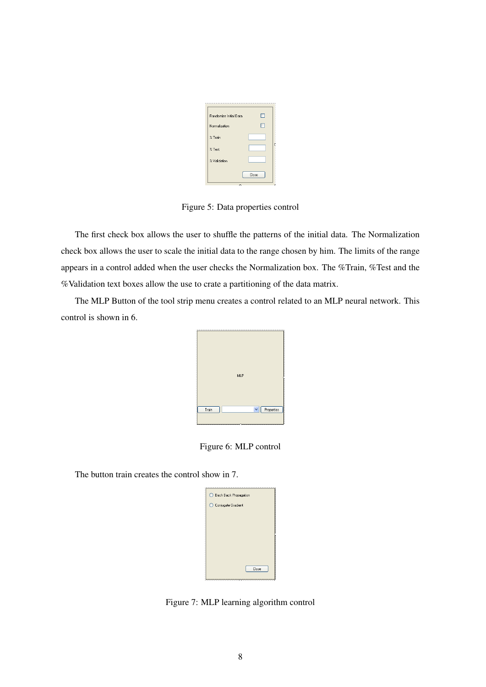| Randomize Initial Data |       |
|------------------------|-------|
| Normalization          |       |
| % Train                |       |
| % Test                 |       |
| % Validation           |       |
|                        | Close |

<span id="page-8-0"></span>Figure 5: Data properties control

The first check box allows the user to shuffle the patterns of the initial data. The Normalization check box allows the user to scale the initial data to the range chosen by him. The limits of the range appears in a control added when the user checks the Normalization box. The %Train, %Test and the %Validation text boxes allow the use to crate a partitioning of the data matrix.

The MLP Button of the tool strip menu creates a control related to an MLP neural network. This control is shown in [6.](#page-8-1)



<span id="page-8-1"></span>Figure 6: MLP control

The button train creates the control show in [7.](#page-8-2)

| Bach Back Propagation |
|-----------------------|
| ◯ Conjugate Gradient  |
|                       |
|                       |
|                       |
|                       |
| Close                 |
|                       |

<span id="page-8-2"></span>Figure 7: MLP learning algorithm control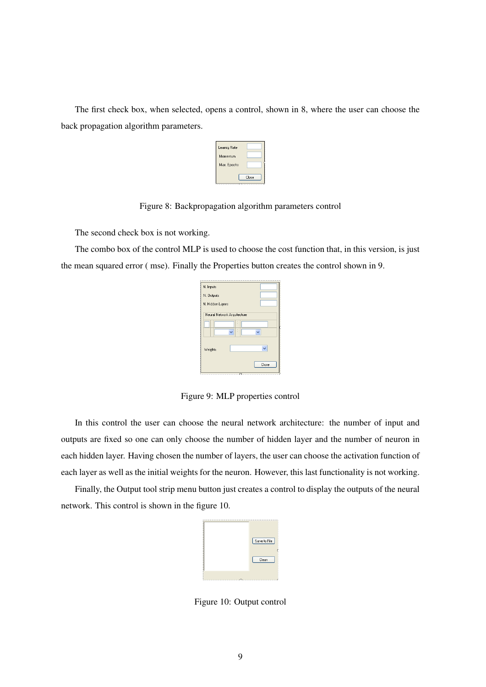The first check box, when selected, opens a control, shown in [8,](#page-9-0) where the user can choose the back propagation algorithm parameters.

| Learnig Rate |  |
|--------------|--|
| Momentum     |  |
| Max. Epochs  |  |

<span id="page-9-0"></span>Figure 8: Backpropagation algorithm parameters control

The second check box is not working.

The combo box of the control MLP is used to choose the cost function that, in this version, is just the mean squared error ( mse). Finally the Properties button creates the control shown in [9.](#page-9-1)

| N. Inputs        |                             |       |
|------------------|-----------------------------|-------|
| N. Outputs       |                             |       |
| N. Hidden Layers |                             |       |
|                  | Neural Network Arquitecture |       |
|                  |                             |       |
|                  |                             |       |
|                  |                             |       |
| Weights          |                             |       |
|                  |                             | Close |
|                  |                             |       |

<span id="page-9-1"></span>Figure 9: MLP properties control

In this control the user can choose the neural network architecture: the number of input and outputs are fixed so one can only choose the number of hidden layer and the number of neuron in each hidden layer. Having chosen the number of layers, the user can choose the activation function of each layer as well as the initial weights for the neuron. However, this last functionality is not working.

Finally, the Output tool strip menu button just creates a control to display the outputs of the neural network. This control is shown in the figure [10.](#page-9-2)

| Save to File |
|--------------|
| Clean        |
|              |

<span id="page-9-2"></span>Figure 10: Output control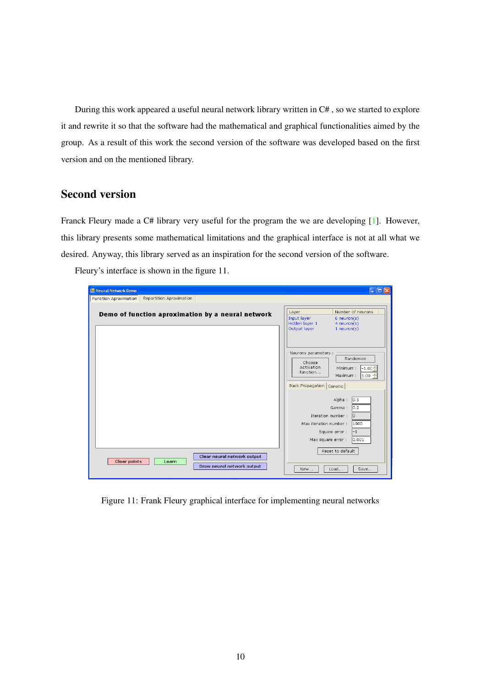During this work appeared a useful neural network library written in C# , so we started to explore it and rewrite it so that the software had the mathematical and graphical functionalities aimed by the group. As a result of this work the second version of the software was developed based on the first version and on the mentioned library.

#### Second version

<span id="page-10-0"></span>Franck Fleury made a C# library very useful for the program the we are developing [\[1\]](#page-19-3). However, this library presents some mathematical limitations and the graphical interface is not at all what we desired. Anyway, this library served as an inspiration for the second version of the software.

| Neural Network Demo                                                                       | $\overline{L}$ $\overline{L}$ $\overline{X}$                                                                                                              |
|-------------------------------------------------------------------------------------------|-----------------------------------------------------------------------------------------------------------------------------------------------------------|
| Repartition Aproximation<br>Function Aproximation                                         |                                                                                                                                                           |
| Demo of function aproximation by a neural network                                         | Number of neurons<br>Layer<br>Input layer<br>$6$ neuron $(s)$<br>Hidden layer 1<br>$4$ neuron(s)<br>Output layer<br>$1$ neuron(s)                         |
|                                                                                           | Neurons parameters :<br>Randomize<br>Choose<br>Activation<br>Minimum:<br>$-1.00 \div$<br>function<br>Maximum:<br>$ 1.00 \div$<br>Back Propagation Genetic |
|                                                                                           | 0.5<br>Alpha:<br>lo.2<br>Gamma:<br>Iteration number:<br>o<br>Max iteration number:<br>1000<br>Square error :<br>$-1$<br>0.001<br>Max square error :       |
| Clear neural network output<br><b>Clear points</b><br>Learn<br>Draw neural network output | Reset to default<br>Load<br>Save<br>New                                                                                                                   |

Fleury's interface is shown in the figure [11.](#page-10-1)

<span id="page-10-1"></span>Figure 11: Frank Fleury graphical interface for implementing neural networks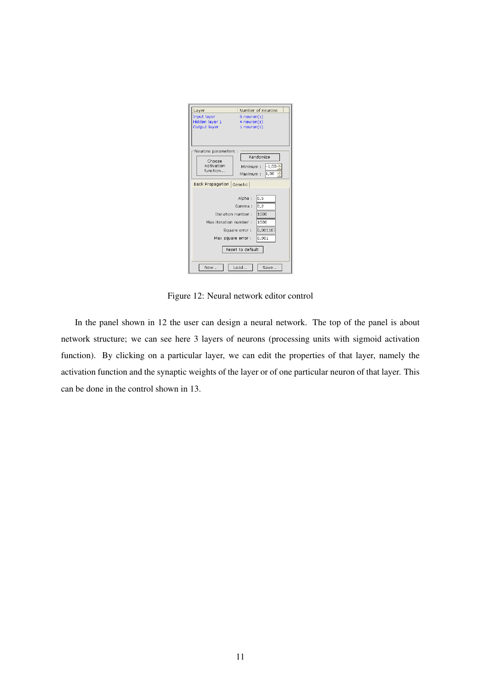| Layer                                                    | Number of neurons                        |
|----------------------------------------------------------|------------------------------------------|
| Input layer                                              | $6$ neuron $(s)$                         |
| Hidden layer 1                                           | $4$ neuron(s)                            |
| Output layer                                             | $1$ neuron(s)                            |
|                                                          |                                          |
| Neurons parameters :<br>Choose<br>Activation<br>function | Randomize<br>$-1,00$<br>Minimum:         |
|                                                          | $\ddot{\phantom{0}}$<br>1,00<br>Maximum: |
| Back Propagation Genetic                                 |                                          |
|                                                          | 0, 5<br>Alpha:<br>0.2<br>Gamma:          |
| Iteration number:                                        | 1000                                     |
| Max iteration number:                                    | 1000                                     |
|                                                          | 0,001107<br>Square error:                |
|                                                          |                                          |
| Max square error :                                       | 0,001                                    |
|                                                          | Reset to default                         |
| New                                                      | Load<br>Save                             |

<span id="page-11-0"></span>Figure 12: Neural network editor control

In the panel shown in [12](#page-11-0) the user can design a neural network. The top of the panel is about network structure; we can see here 3 layers of neurons (processing units with sigmoid activation function). By clicking on a particular layer, we can edit the properties of that layer, namely the activation function and the synaptic weights of the layer or of one particular neuron of that layer. This can be done in the control shown in [13.](#page-12-0)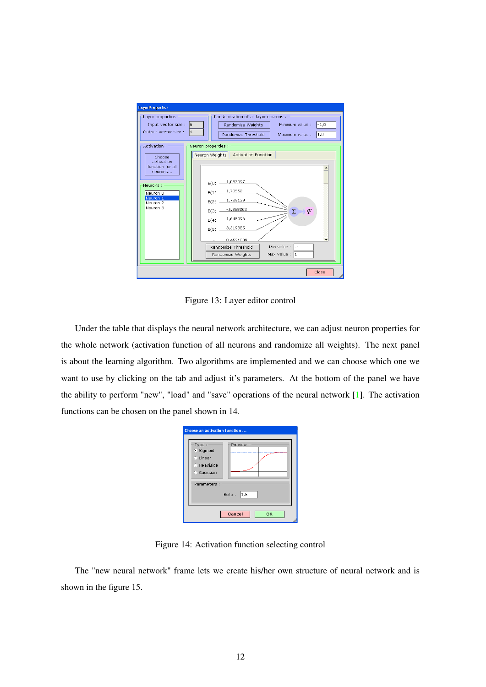

<span id="page-12-0"></span>Figure 13: Layer editor control

Under the table that displays the neural network architecture, we can adjust neuron properties for the whole network (activation function of all neurons and randomize all weights). The next panel is about the learning algorithm. Two algorithms are implemented and we can choose which one we want to use by clicking on the tab and adjust it's parameters. At the bottom of the panel we have the ability to perform "new", "load" and "save" operations of the neural network [\[1\]](#page-19-3). The activation functions can be chosen on the panel shown in [14.](#page-12-1)

| Choose an activation function<br>Type:<br>· Sigmoid | Preview: -          |
|-----------------------------------------------------|---------------------|
| C Linear<br>C Heaviside<br><b>Gaussian</b>          |                     |
| Parameters :                                        | 1, 5 <br>Beta:      |
|                                                     | Cancel<br><b>OK</b> |

<span id="page-12-1"></span>Figure 14: Activation function selecting control

The "new neural network" frame lets we create his/her own structure of neural network and is shown in the figure [15.](#page-13-0)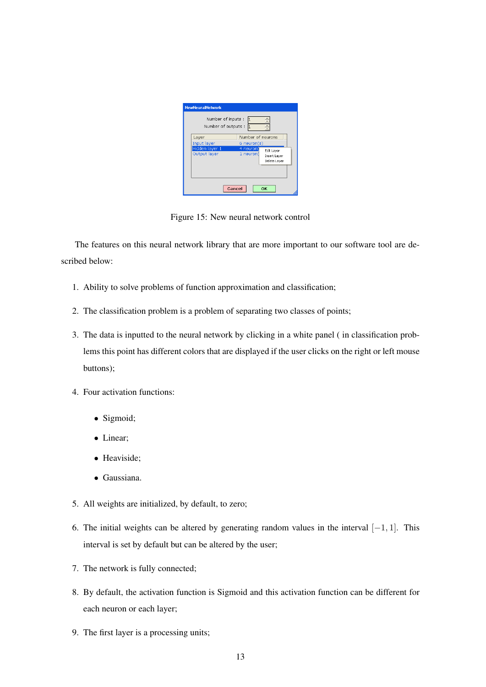| Number of inputs :<br>Number of outputs : |                   |              |
|-------------------------------------------|-------------------|--------------|
| Layer                                     | Number of neurons |              |
| Input layer                               | $6$ neuron $(s)$  |              |
| Hidden layer 1                            | 4 neuron          | Edit Layer   |
| Output layer                              | 1 neuron(         | Insert Layer |
|                                           |                   | Delete Laver |
|                                           |                   |              |

<span id="page-13-0"></span>Figure 15: New neural network control

The features on this neural network library that are more important to our software tool are described below:

- 1. Ability to solve problems of function approximation and classification;
- 2. The classification problem is a problem of separating two classes of points;
- 3. The data is inputted to the neural network by clicking in a white panel ( in classification problems this point has different colors that are displayed if the user clicks on the right or left mouse buttons);
- 4. Four activation functions:
	- Sigmoid;
	- Linear;
	- Heaviside;
	- Gaussiana.
- 5. All weights are initialized, by default, to zero;
- 6. The initial weights can be altered by generating random values in the interval [−1, 1]. This interval is set by default but can be altered by the user;
- 7. The network is fully connected;
- 8. By default, the activation function is Sigmoid and this activation function can be different for each neuron or each layer;
- 9. The first layer is a processing units;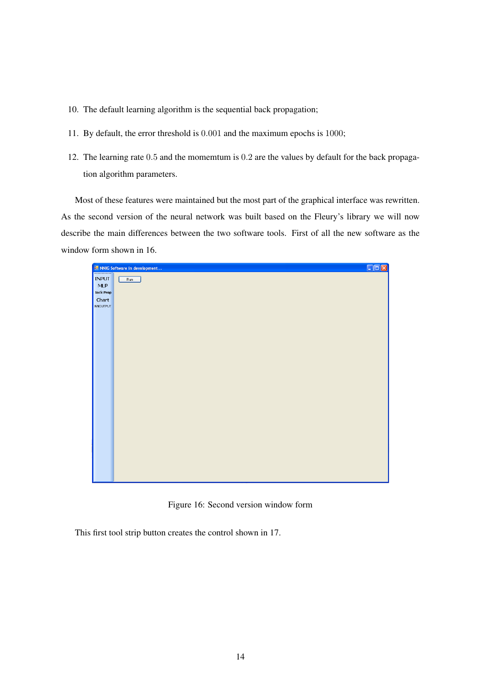- 10. The default learning algorithm is the sequential back propagation;
- 11. By default, the error threshold is 0.001 and the maximum epochs is 1000;
- 12. The learning rate 0.5 and the momemtum is 0.2 are the values by default for the back propagation algorithm parameters.

Most of these features were maintained but the most part of the graphical interface was rewritten. As the second version of the neural network was built based on the Fleury's library we will now describe the main differences between the two software tools. First of all the new software as the window form shown in [16.](#page-14-0)



Figure 16: Second version window form

<span id="page-14-0"></span>This first tool strip button creates the control shown in [17.](#page-15-0)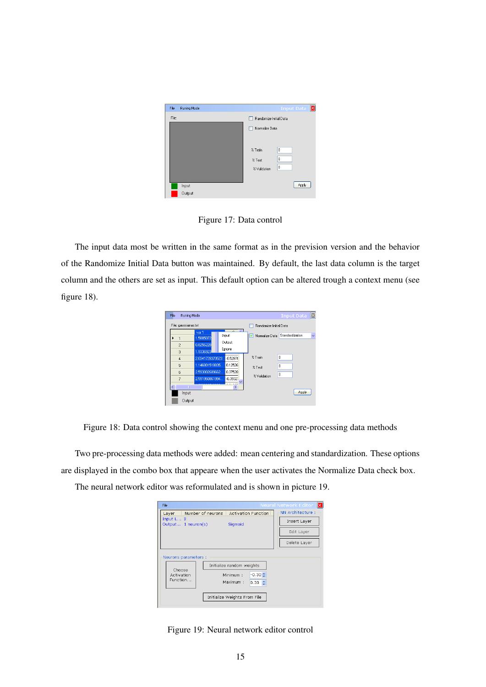

Figure 17: Data control

The input data most be written in the same format as in the prevision version and the behavior of the Randomize Initial Data button was maintained. By default, the last data column is the target column and the others are set as input. This default option can be altered trough a context menu (see figure [18\)](#page-15-1).

<span id="page-15-0"></span>

| File<br>Runing Mode             |                                                |                           |                                | <b>Input Data</b>    | 冈 |
|---------------------------------|------------------------------------------------|---------------------------|--------------------------------|----------------------|---|
| File: gaussianas.txt            |                                                |                           | Randomize Initial Data         |                      |   |
| $\overline{2}$                  | var 1<br>1.5885072<br>0.8256228                | Input<br>Output<br>Ignore | Mormalize Data Standardization |                      | ŵ |
| 3<br>$\overline{4}$<br>5        | 1.9336923<br>2.0341728370523<br>1.146801518835 | $-0.52870$<br>0.12526     | % Train<br>$%$ Test            | $\bf{0}$<br>$\bf{0}$ |   |
| ĥ.<br>$\overline{z}$<br>¢П<br>m | 2.593002689662<br>2.591950861994               | 0.37528<br>$-0.3932$      | % Validation                   | 0                    |   |
| Input<br>Output                 |                                                |                           |                                | Apply                |   |

<span id="page-15-1"></span>Figure 18: Data control showing the context menu and one pre-processing data methods

Two pre-processing data methods were added: mean centering and standardization. These options are displayed in the combo box that appeare when the user activates the Normalize Data check box.

The neural network editor was reformulated and is shown in picture [19.](#page-15-2)

| File                                                     |                                                                                                           | IХ<br>Neural Network Editor |
|----------------------------------------------------------|-----------------------------------------------------------------------------------------------------------|-----------------------------|
| Number of neurons<br>Layer                               | NN Architecture :                                                                                         |                             |
| Input $L 2$<br>Output 1 neuron(s)                        | Sigmoid                                                                                                   | Insert Layer                |
|                                                          |                                                                                                           | Edit Layer                  |
|                                                          |                                                                                                           | Delete Layer                |
| Neurons parameters :<br>Choose<br>Activation<br>Function | Initialize random weights<br>$-0.30 \div$<br>Minimum:<br>Maximum:<br>0.30<br>Initialize Weights From File |                             |

<span id="page-15-2"></span>Figure 19: Neural network editor control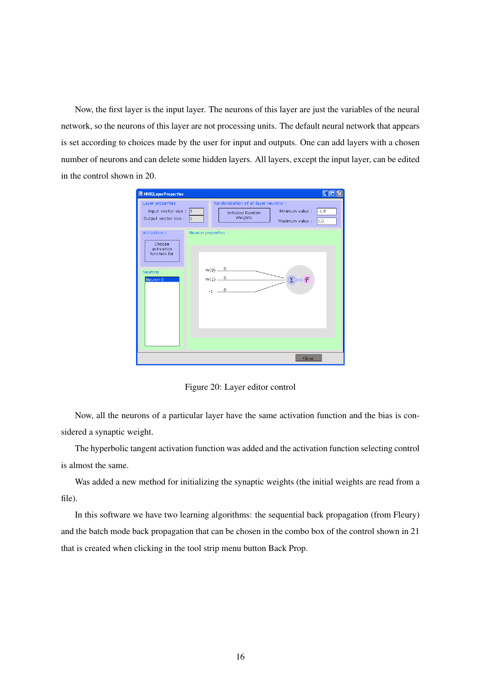Now, the first layer is the input layer. The neurons of this layer are just the variables of the neural network, so the neurons of this layer are not processing units. The default neural network that appears is set according to choices made by the user for input and outputs. One can add layers with a chosen number of neurons and can delete some hidden layers. All layers, except the input layer, can be edited in the control shown in [20.](#page-16-0)

| <b>III</b> NNIGLayerProperties                                                         |                                                                                                                                                 |                |
|----------------------------------------------------------------------------------------|-------------------------------------------------------------------------------------------------------------------------------------------------|----------------|
| Layer properties<br>Input vector size :<br>Output vector size :                        | Randomization of all layer neurons :<br>$\vert$ <sub>2</sub><br>Minimum value :<br>Initialize Random<br>Weights<br>$\vert$ 1<br>Maximum value : | $-1,0$<br> 1,0 |
| Activation:<br>Choose<br>activation<br>function for<br>Neurons:<br>Neuron <sub>0</sub> | Neuron properties :<br>$W(0)$ $\frac{0}{-}$<br>$W(1) - 0$<br>F<br>Σ<br>$-1$ $-$ 0                                                               |                |
|                                                                                        | Close                                                                                                                                           |                |

<span id="page-16-0"></span>Figure 20: Layer editor control

Now, all the neurons of a particular layer have the same activation function and the bias is considered a synaptic weight.

The hyperbolic tangent activation function was added and the activation function selecting control is almost the same.

Was added a new method for initializing the synaptic weights (the initial weights are read from a file).

In this software we have two learning algorithms: the sequential back propagation (from Fleury) and the batch mode back propagation that can be chosen in the combo box of the control shown in [21](#page-17-0) that is created when clicking in the tool strip menu button Back Prop.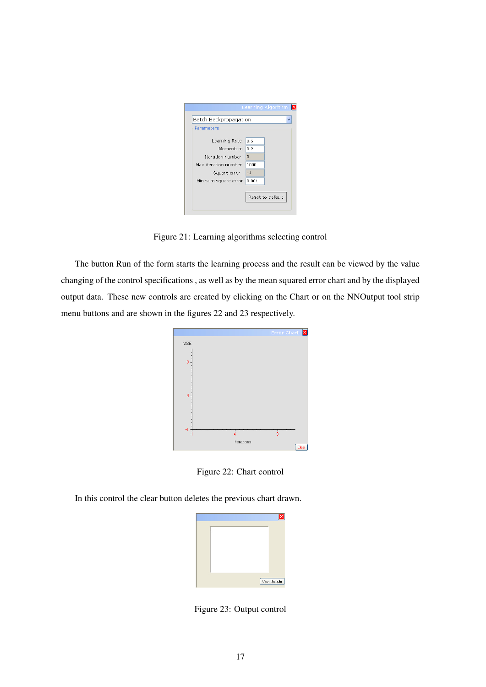

Figure 21: Learning algorithms selecting control

The button Run of the form starts the learning process and the result can be viewed by the value changing of the control specifications , as well as by the mean squared error chart and by the displayed output data. These new controls are created by clicking on the Chart or on the NNOutput tool strip menu buttons and are shown in the figures [22](#page-17-1) and [23](#page-17-2) respectively.

<span id="page-17-0"></span>

<span id="page-17-1"></span>Figure 22: Chart control

In this control the clear button deletes the previous chart drawn.

<span id="page-17-2"></span>

Figure 23: Output control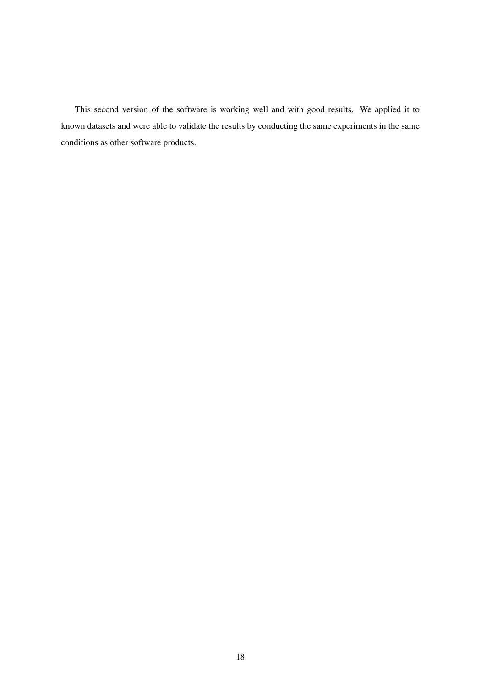This second version of the software is working well and with good results. We applied it to known datasets and were able to validate the results by conducting the same experiments in the same conditions as other software products.